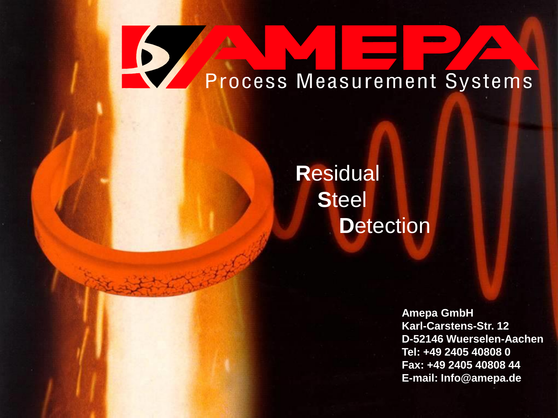# $\blacktriangleright$ Process Measurement Systems

#### **R**esidual **S**teel **Detection**

**Amepa GmbH Karl-Carstens-Str. 12 D-52146 Wuerselen-Aachen Tel: +49 2405 40808 0 Fax: +49 2405 40808 44 E-mail: Info@amepa.de**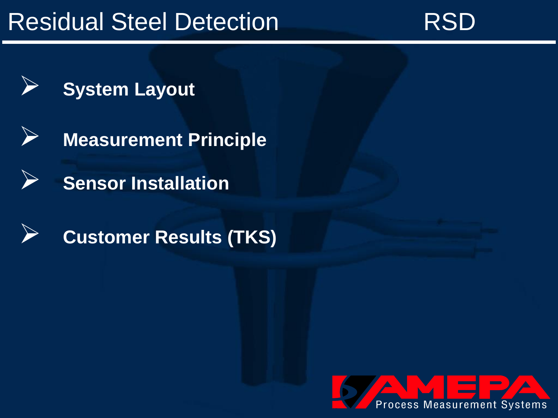# Residual Steel Detection **RSD**<br>RSD











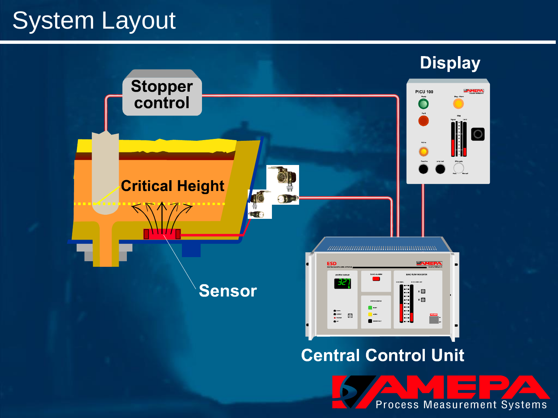# <span id="page-2-0"></span>System Layout

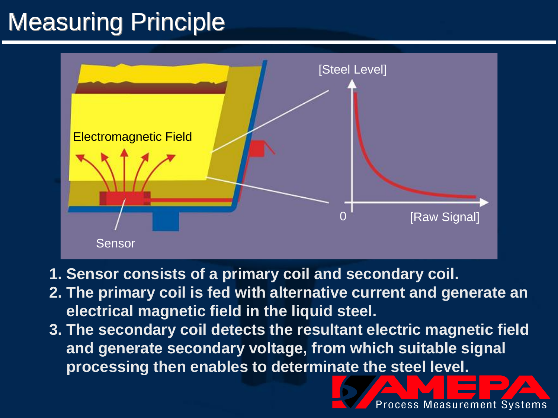# Measuring Principle



- **1. Sensor consists of a primary coil and secondary coil.**
- **2. The primary coil is fed with alternative current and generate an electrical magnetic field in the liquid steel.**
- **3. The secondary coil detects the resultant electric magnetic field and generate secondary voltage, from which suitable signal processing then enables to determinate the steel level.**

**Process Measurement Systems**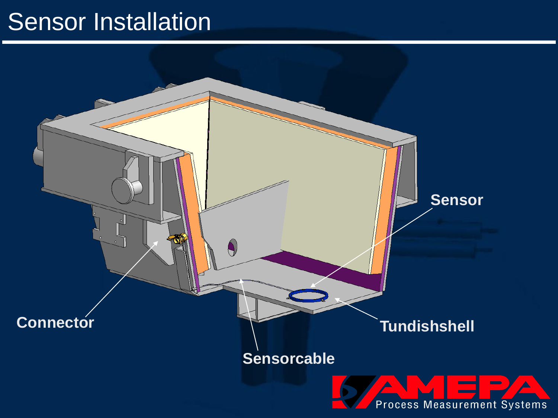#### Sensor Installation

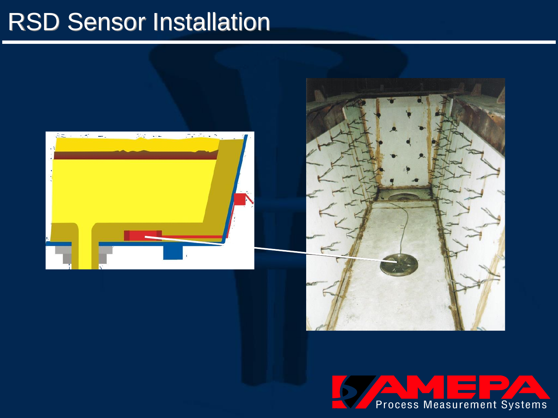#### RSD Sensor Installation





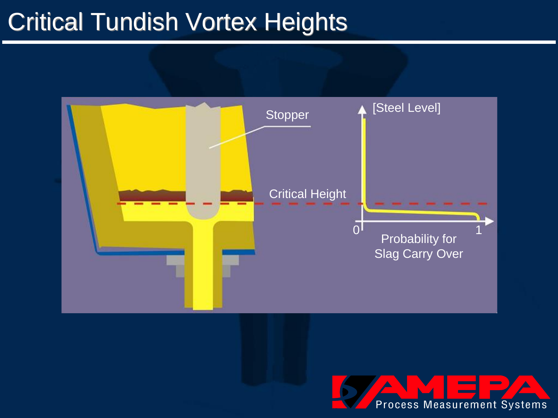# Critical Tundish Vortex Heights



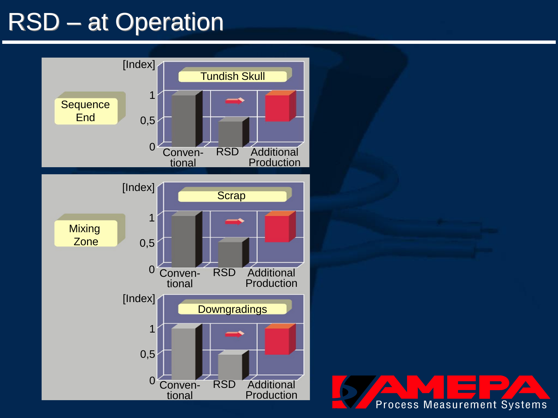# RSD – at Operation



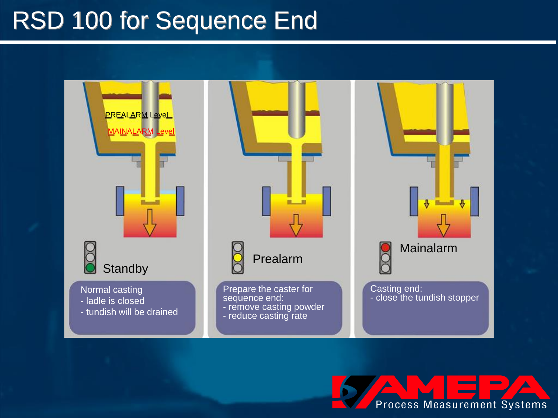## RSD 100 for Sequence End



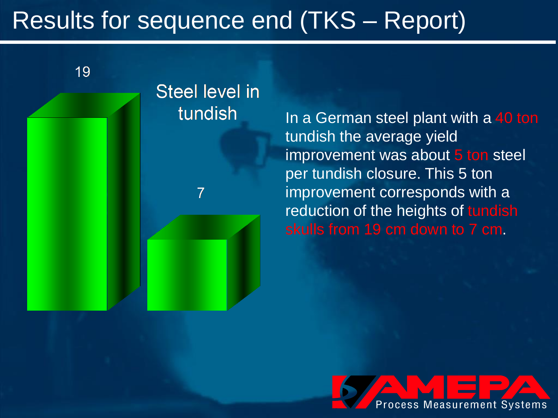# <span id="page-9-0"></span>Results for sequence end (TKS – Report)

19

#### **Steel level in** tundish

 $\overline{7}$ 

In a German steel plant with a 40 ton tundish the average yield improvement was about 5 ton steel per tundish closure. This 5 ton improvement corresponds with a reduction of the heights of tundish skulls from 19 cm down to 7 cm.

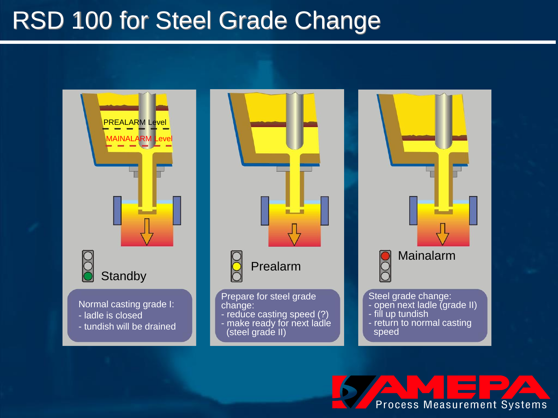#### RSD 100 for Steel Grade Change